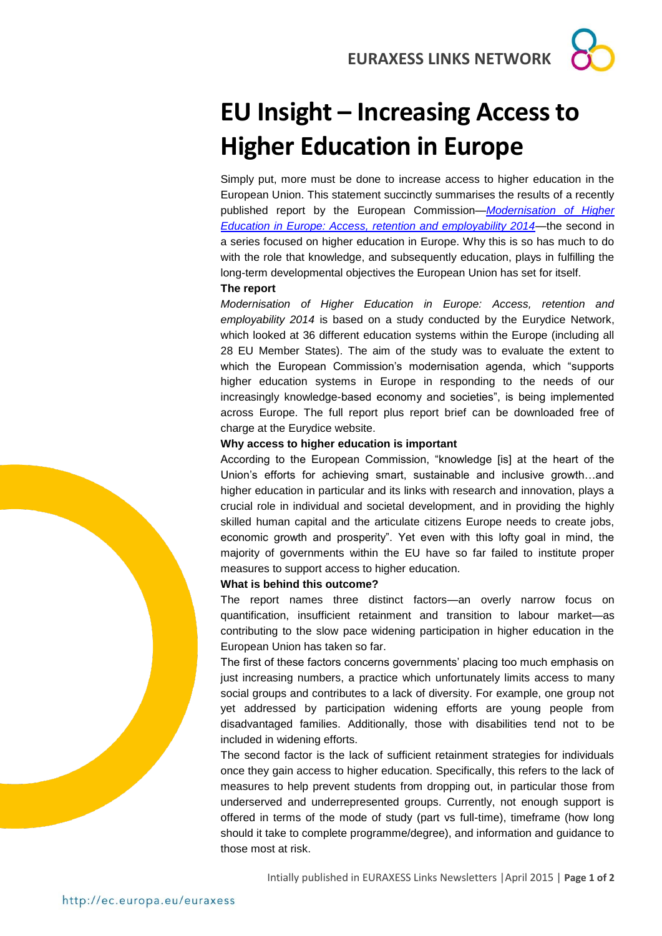**EURAXESS LINKS NETWORK**

# **EU Insight – Increasing Access to Higher Education in Europe**

Simply put, more must be done to increase access to higher education in the European Union. This statement succinctly summarises the results of a recently published report by the European Commission—*[Modernisation of Higher](http://www.google.de/url?sa=t&rct=j&q=&esrc=s&source=web&cd=1&cad=rja&uact=8&ved=0CCIQFjAA&url=http%3A%2F%2Feacea.ec.europa.eu%2Feducation%2Feurydice%2Fdocuments%2Fthematic_reports%2F165EN.pdf&ei=AoQvVZGTA4L0aObFgNgF&usg=AFQjCNGKExQMd-KQBcZuRf1-eJQ_1f75lQ&bvm=bv.91071109,d.d2s)  [Education in Europe: Access, retention and employability 2014](http://www.google.de/url?sa=t&rct=j&q=&esrc=s&source=web&cd=1&cad=rja&uact=8&ved=0CCIQFjAA&url=http%3A%2F%2Feacea.ec.europa.eu%2Feducation%2Feurydice%2Fdocuments%2Fthematic_reports%2F165EN.pdf&ei=AoQvVZGTA4L0aObFgNgF&usg=AFQjCNGKExQMd-KQBcZuRf1-eJQ_1f75lQ&bvm=bv.91071109,d.d2s)*—the second in a series focused on higher education in Europe. Why this is so has much to do with the role that knowledge, and subsequently education, plays in fulfilling the long-term developmental objectives the European Union has set for itself.

### **The report**

*Modernisation of Higher Education in Europe: Access, retention and employability 2014* is based on a study conducted by the Eurydice Network, which looked at 36 different education systems within the Europe (including all 28 EU Member States). The aim of the study was to evaluate the extent to which the European Commission's modernisation agenda, which "supports higher education systems in Europe in responding to the needs of our increasingly knowledge-based economy and societies", is being implemented across Europe. The full report plus report brief can be downloaded free of charge at the Eurydice website.

### **Why access to higher education is important**

According to the European Commission, "knowledge [is] at the heart of the Union's efforts for achieving smart, sustainable and inclusive growth…and higher education in particular and its links with research and innovation, plays a crucial role in individual and societal development, and in providing the highly skilled human capital and the articulate citizens Europe needs to create jobs, economic growth and prosperity". Yet even with this lofty goal in mind, the majority of governments within the EU have so far failed to institute proper measures to support access to higher education.

#### **What is behind this outcome?**

The report names three distinct factors—an overly narrow focus on quantification, insufficient retainment and transition to labour market—as contributing to the slow pace widening participation in higher education in the European Union has taken so far.

The first of these factors concerns governments' placing too much emphasis on just increasing numbers, a practice which unfortunately limits access to many social groups and contributes to a lack of diversity. For example, one group not yet addressed by participation widening efforts are young people from disadvantaged families. Additionally, those with disabilities tend not to be included in widening efforts.

The second factor is the lack of sufficient retainment strategies for individuals once they gain access to higher education. Specifically, this refers to the lack of measures to help prevent students from dropping out, in particular those from underserved and underrepresented groups. Currently, not enough support is offered in terms of the mode of study (part vs full-time), timeframe (how long should it take to complete programme/degree), and information and guidance to those most at risk.